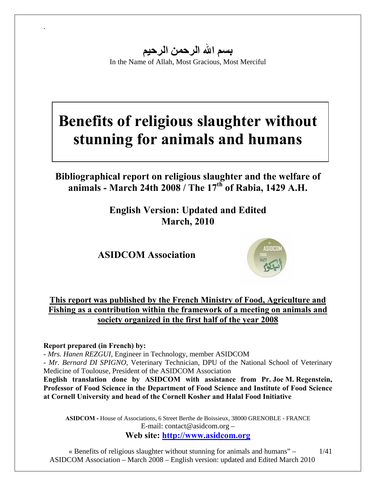**بسم االله الرحمن الرحيم** In the Name of Allah, Most Gracious, Most Merciful

# **Benefits of religious slaughter without stunning for animals and humans**

## **Bibliographical report on religious slaughter and the welfare of animals - March 24th 2008 / The 17th of Rabia, 1429 A.H.**

**English Version: Updated and Edited March, 2010** 

**ASIDCOM Association** 



### **This report was published by the French Ministry of Food, Agriculture and Fishing as a contribution within the framework of a meeting on animals and society organized in the first half of the year 2008**

#### **Report prepared (in French) by:**

.

- *Mrs. Hanen REZGUI,* Engineer in Technology, member ASIDCOM

- *Mr. Bernard DI SPIGNO,* Veterinary Technician, DPU of the National School of Veterinary Medicine of Toulouse, President of the ASIDCOM Association

**English translation done by ASIDCOM with assistance from Pr. Joe M. Regenstein, Professor of Food Science in the Department of Food Science and Institute of Food Science at Cornell University and head of the Cornell Kosher and Halal Food Initiative** 

**ASIDCOM -** House of Associations, 6 Street Berthe de Boissieux, 38000 GRENOBLE - FRANCE E-mail: contact@asidcom.org –

**Web site: http://www.asidcom.org**

« Benefits of religious slaughter without stunning for animals and humans" – ASIDCOM Association – March 2008 – English version: updated and Edited March 2010 1/41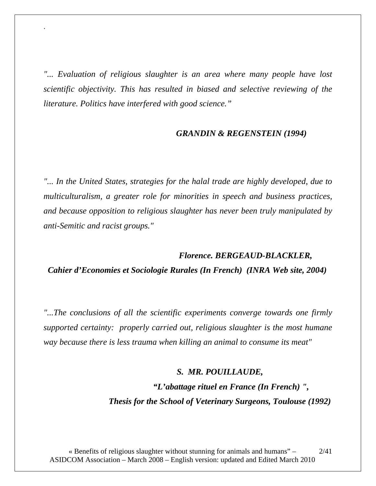*"... Evaluation of religious slaughter is an area where many people have lost scientific objectivity. This has resulted in biased and selective reviewing of the literature. Politics have interfered with good science."* 

.

#### *GRANDIN & REGENSTEIN (1994)*

*"... In the United States, strategies for the halal trade are highly developed, due to multiculturalism, a greater role for minorities in speech and business practices, and because opposition to religious slaughter has never been truly manipulated by anti-Semitic and racist groups."* 

# *Florence. BERGEAUD-BLACKLER, Cahier d'Economies et Sociologie Rurales (In French) (INRA Web site, 2004)*

*"...The conclusions of all the scientific experiments converge towards one firmly supported certainty: properly carried out, religious slaughter is the most humane way because there is less trauma when killing an animal to consume its meat"* 

#### *S. MR. POUILLAUDE,*

 *"L'abattage rituel en France (In French) ", Thesis for the School of Veterinary Surgeons, Toulouse (1992)*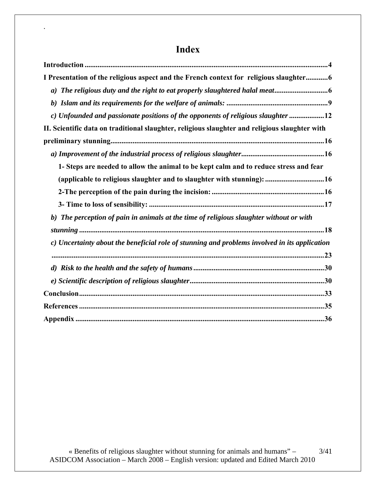# **Index**

.

| I Presentation of the religious aspect and the French context for religious slaughter6         |
|------------------------------------------------------------------------------------------------|
|                                                                                                |
|                                                                                                |
| c) Unfounded and passionate positions of the opponents of religious slaughter 12               |
| II. Scientific data on traditional slaughter, religious slaughter and religious slaughter with |
|                                                                                                |
|                                                                                                |
| 1- Steps are needed to allow the animal to be kept calm and to reduce stress and fear          |
| (applicable to religious slaughter and to slaughter with stunning): 16                         |
|                                                                                                |
|                                                                                                |
| b) The perception of pain in animals at the time of religious slaughter without or with        |
|                                                                                                |
| c) Uncertainty about the beneficial role of stunning and problems involved in its application  |
|                                                                                                |
|                                                                                                |
|                                                                                                |
|                                                                                                |
|                                                                                                |
|                                                                                                |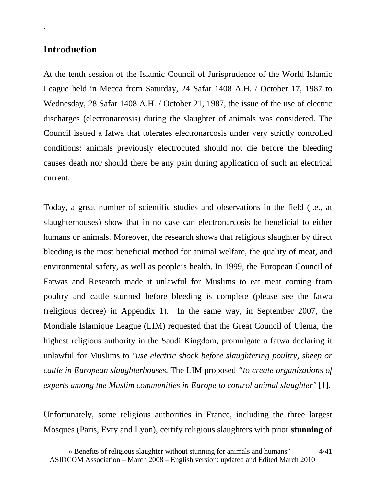### **Introduction**

.

At the tenth session of the Islamic Council of Jurisprudence of the World Islamic League held in Mecca from Saturday, 24 Safar 1408 A.H. / October 17, 1987 to Wednesday, 28 Safar 1408 A.H. / October 21, 1987, the issue of the use of electric discharges (electronarcosis) during the slaughter of animals was considered. The Council issued a fatwa that tolerates electronarcosis under very strictly controlled conditions: animals previously electrocuted should not die before the bleeding causes death nor should there be any pain during application of such an electrical current.

Today, a great number of scientific studies and observations in the field (i.e., at slaughterhouses) show that in no case can electronarcosis be beneficial to either humans or animals. Moreover, the research shows that religious slaughter by direct bleeding is the most beneficial method for animal welfare, the quality of meat, and environmental safety, as well as people's health. In 1999, the European Council of Fatwas and Research made it unlawful for Muslims to eat meat coming from poultry and cattle stunned before bleeding is complete (please see the fatwa (religious decree) in Appendix 1). In the same way, in September 2007, the Mondiale Islamique League (LIM) requested that the Great Council of Ulema, the highest religious authority in the Saudi Kingdom, promulgate a fatwa declaring it unlawful for Muslims to *"use electric shock before slaughtering poultry, sheep or cattle in European slaughterhouses.* The LIM proposed *"to create organizations of experts among the Muslim communities in Europe to control animal slaughter"* [1].

Unfortunately, some religious authorities in France, including the three largest Mosques (Paris, Evry and Lyon), certify religious slaughters with prior **stunning** of

<sup>«</sup> Benefits of religious slaughter without stunning for animals and humans" – ASIDCOM Association – March 2008 – English version: updated and Edited March 2010 4/41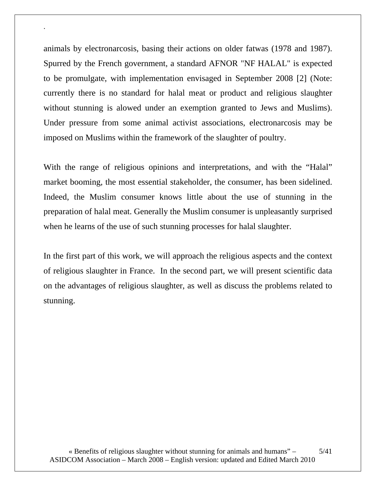animals by electronarcosis, basing their actions on older fatwas (1978 and 1987). Spurred by the French government, a standard AFNOR "NF HALAL" is expected to be promulgate, with implementation envisaged in September 2008 [2] (Note: currently there is no standard for halal meat or product and religious slaughter without stunning is alowed under an exemption granted to Jews and Muslims). Under pressure from some animal activist associations, electronarcosis may be imposed on Muslims within the framework of the slaughter of poultry.

.

With the range of religious opinions and interpretations, and with the "Halal" market booming, the most essential stakeholder, the consumer, has been sidelined. Indeed, the Muslim consumer knows little about the use of stunning in the preparation of halal meat. Generally the Muslim consumer is unpleasantly surprised when he learns of the use of such stunning processes for halal slaughter.

In the first part of this work, we will approach the religious aspects and the context of religious slaughter in France. In the second part, we will present scientific data on the advantages of religious slaughter, as well as discuss the problems related to stunning.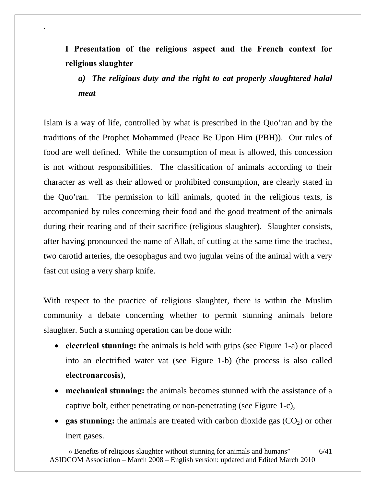**I Presentation of the religious aspect and the French context for religious slaughter** 

.

*a)**The religious duty and the right to eat properly slaughtered halal meat* 

Islam is a way of life, controlled by what is prescribed in the Quo'ran and by the traditions of the Prophet Mohammed (Peace Be Upon Him (PBH)). Our rules of food are well defined. While the consumption of meat is allowed, this concession is not without responsibilities. The classification of animals according to their character as well as their allowed or prohibited consumption, are clearly stated in the Quo'ran. The permission to kill animals, quoted in the religious texts, is accompanied by rules concerning their food and the good treatment of the animals during their rearing and of their sacrifice (religious slaughter). Slaughter consists, after having pronounced the name of Allah, of cutting at the same time the trachea, two carotid arteries, the oesophagus and two jugular veins of the animal with a very fast cut using a very sharp knife.

With respect to the practice of religious slaughter, there is within the Muslim community a debate concerning whether to permit stunning animals before slaughter. Such a stunning operation can be done with:

- **electrical stunning:** the animals is held with grips (see Figure 1-a) or placed into an electrified water vat (see Figure 1-b) (the process is also called **electronarcosis)**,
- **mechanical stunning:** the animals becomes stunned with the assistance of a captive bolt, either penetrating or non-penetrating (see Figure 1-c),
- **gas stunning:** the animals are treated with carbon dioxide gas  $(CO_2)$  or other inert gases.

« Benefits of religious slaughter without stunning for animals and humans" – ASIDCOM Association – March 2008 – English version: updated and Edited March 2010 6/41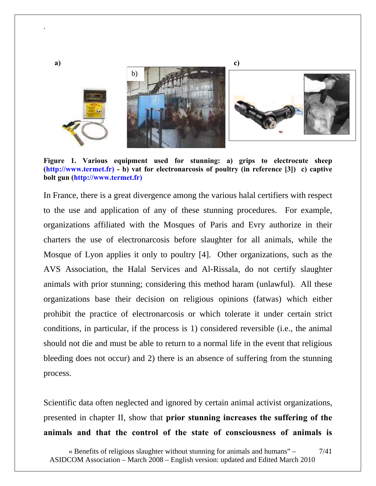

**Figure 1. Various equipment used for stunning: a) grips to electrocute sheep (http://www.termet.fr) - b) vat for electronarcosis of poultry (in reference [3]) c) captive bolt gun (http://www.termet.fr)** 

.

In France, there is a great divergence among the various halal certifiers with respect to the use and application of any of these stunning procedures. For example, organizations affiliated with the Mosques of Paris and Evry authorize in their charters the use of electronarcosis before slaughter for all animals, while the Mosque of Lyon applies it only to poultry [4]. Other organizations, such as the AVS Association, the Halal Services and Al-Rissala, do not certify slaughter animals with prior stunning; considering this method haram (unlawful). All these organizations base their decision on religious opinions (fatwas) which either prohibit the practice of electronarcosis or which tolerate it under certain strict conditions, in particular, if the process is 1) considered reversible (i.e., the animal should not die and must be able to return to a normal life in the event that religious bleeding does not occur) and 2) there is an absence of suffering from the stunning process.

Scientific data often neglected and ignored by certain animal activist organizations, presented in chapter II, show that **prior stunning increases the suffering of the animals and that the control of the state of consciousness of animals is** 

<sup>«</sup> Benefits of religious slaughter without stunning for animals and humans" – ASIDCOM Association – March 2008 – English version: updated and Edited March 2010 7/41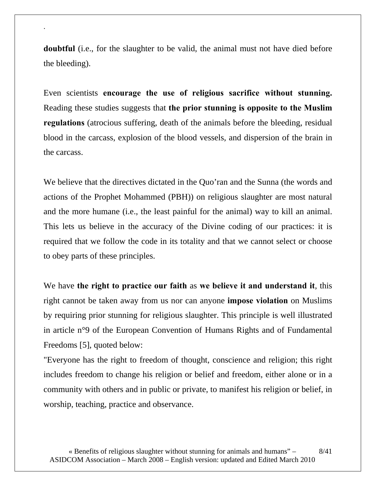**doubtful** (i.e., for the slaughter to be valid, the animal must not have died before the bleeding).

.

Even scientists **encourage the use of religious sacrifice without stunning.**  Reading these studies suggests that **the prior stunning is opposite to the Muslim regulations** (atrocious suffering, death of the animals before the bleeding, residual blood in the carcass, explosion of the blood vessels, and dispersion of the brain in the carcass.

We believe that the directives dictated in the Quo'ran and the Sunna (the words and actions of the Prophet Mohammed (PBH)) on religious slaughter are most natural and the more humane (i.e., the least painful for the animal) way to kill an animal. This lets us believe in the accuracy of the Divine coding of our practices: it is required that we follow the code in its totality and that we cannot select or choose to obey parts of these principles.

We have **the right to practice our faith** as **we believe it and understand it**, this right cannot be taken away from us nor can anyone **impose violation** on Muslims by requiring prior stunning for religious slaughter. This principle is well illustrated in article n°9 of the European Convention of Humans Rights and of Fundamental Freedoms [5], quoted below:

"Everyone has the right to freedom of thought, conscience and religion; this right includes freedom to change his religion or belief and freedom, either alone or in a community with others and in public or private, to manifest his religion or belief, in worship, teaching, practice and observance.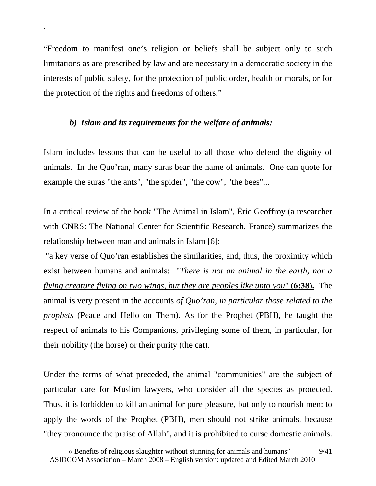"Freedom to manifest one's religion or beliefs shall be subject only to such limitations as are prescribed by law and are necessary in a democratic society in the interests of public safety, for the protection of public order, health or morals, or for the protection of the rights and freedoms of others."

#### *b) Islam and its requirements for the welfare of animals:*

.

Islam includes lessons that can be useful to all those who defend the dignity of animals. In the Quo'ran, many suras bear the name of animals. One can quote for example the suras "the ants", "the spider", "the cow", "the bees"...

In a critical review of the book "The Animal in Islam", Éric Geoffroy (a researcher with CNRS: The National Center for Scientific Research, France) summarizes the relationship between man and animals in Islam [6]:

 "a key verse of Quo'ran establishes the similarities, and, thus, the proximity which exist between humans and animals: "*There is not an animal in the earth, nor a flying creature flying on two wings, but they are peoples like unto you*" **(6:38).** The animal is very present in the accounts *of Quo'ran, in particular those related to the prophets* (Peace and Hello on Them). As for the Prophet (PBH), he taught the respect of animals to his Companions, privileging some of them, in particular, for their nobility (the horse) or their purity (the cat).

Under the terms of what preceded, the animal "communities" are the subject of particular care for Muslim lawyers, who consider all the species as protected. Thus, it is forbidden to kill an animal for pure pleasure, but only to nourish men: to apply the words of the Prophet (PBH), men should not strike animals, because "they pronounce the praise of Allah", and it is prohibited to curse domestic animals.

<sup>«</sup> Benefits of religious slaughter without stunning for animals and humans" – ASIDCOM Association – March 2008 – English version: updated and Edited March 2010 9/41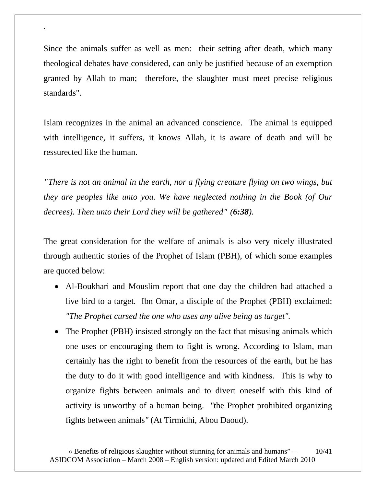Since the animals suffer as well as men: their setting after death, which many theological debates have considered, can only be justified because of an exemption granted by Allah to man; therefore, the slaughter must meet precise religious standards".

.

Islam recognizes in the animal an advanced conscience. The animal is equipped with intelligence, it suffers, it knows Allah, it is aware of death and will be ressurected like the human.

*"There is not an animal in the earth, nor a flying creature flying on two wings, but they are peoples like unto you. We have neglected nothing in the Book (of Our decrees). Then unto their Lord they will be gathered" (6:38).* 

The great consideration for the welfare of animals is also very nicely illustrated through authentic stories of the Prophet of Islam (PBH), of which some examples are quoted below:

- Al-Boukhari and Mouslim report that one day the children had attached a live bird to a target. Ibn Omar, a disciple of the Prophet (PBH) exclaimed: *"The Prophet cursed the one who uses any alive being as target".*
- The Prophet (PBH) insisted strongly on the fact that misusing animals which one uses or encouraging them to fight is wrong. According to Islam, man certainly has the right to benefit from the resources of the earth, but he has the duty to do it with good intelligence and with kindness. This is why to organize fights between animals and to divert oneself with this kind of activity is unworthy of a human being. *"*the Prophet prohibited organizing fights between animals*"* (At Tirmidhi, Abou Daoud).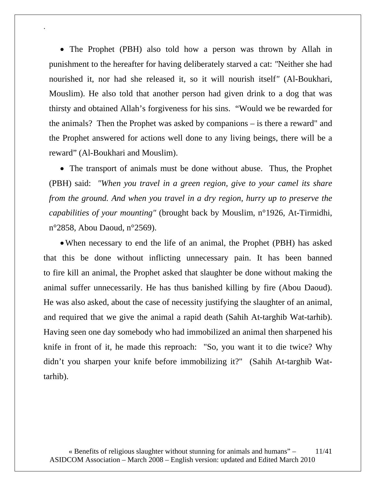• The Prophet (PBH) also told how a person was thrown by Allah in punishment to the hereafter for having deliberately starved a cat: *"*Neither she had nourished it, nor had she released it, so it will nourish itself*"* (Al-Boukhari, Mouslim). He also told that another person had given drink to a dog that was thirsty and obtained Allah's forgiveness for his sins. "Would we be rewarded for the animals? Then the Prophet was asked by companions – is there a reward" and the Prophet answered for actions well done to any living beings, there will be a reward" (Al-Boukhari and Mouslim).

.

• The transport of animals must be done without abuse. Thus, the Prophet (PBH) said: *"When you travel in a green region, give to your camel its share from the ground. And when you travel in a dry region, hurry up to preserve the capabilities of your mounting"* (brought back by Mouslim, n°1926, At-Tirmidhi, n°2858, Abou Daoud, n°2569).

•When necessary to end the life of an animal, the Prophet (PBH) has asked that this be done without inflicting unnecessary pain. It has been banned to fire kill an animal, the Prophet asked that slaughter be done without making the animal suffer unnecessarily. He has thus banished killing by fire (Abou Daoud). He was also asked, about the case of necessity justifying the slaughter of an animal, and required that we give the animal a rapid death (Sahih At-targhib Wat-tarhib). Having seen one day somebody who had immobilized an animal then sharpened his knife in front of it, he made this reproach: "So, you want it to die twice? Why didn't you sharpen your knife before immobilizing it?" (Sahih At-targhib Wattarhib).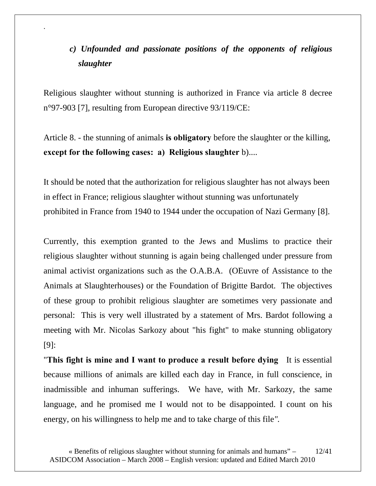# *c) Unfounded and passionate positions of the opponents of religious slaughter*

Religious slaughter without stunning is authorized in France via article 8 decree n°97-903 [7], resulting from European directive 93/119/CE:

.

Article 8. - the stunning of animals **is obligatory** before the slaughter or the killing, **except for the following cases: a) Religious slaughter** b)....

It should be noted that the authorization for religious slaughter has not always been in effect in France; religious slaughter without stunning was unfortunately prohibited in France from 1940 to 1944 under the occupation of Nazi Germany [8].

Currently, this exemption granted to the Jews and Muslims to practice their religious slaughter without stunning is again being challenged under pressure from animal activist organizations such as the O.A.B.A. (OEuvre of Assistance to the Animals at Slaughterhouses) or the Foundation of Brigitte Bardot. The objectives of these group to prohibit religious slaughter are sometimes very passionate and personal: This is very well illustrated by a statement of Mrs. Bardot following a meeting with Mr. Nicolas Sarkozy about "his fight" to make stunning obligatory [9]:

"**This fight is mine and I want to produce a result before dying** It is essential because millions of animals are killed each day in France, in full conscience, in inadmissible and inhuman sufferings. We have, with Mr. Sarkozy, the same language, and he promised me I would not to be disappointed. I count on his energy, on his willingness to help me and to take charge of this file*".*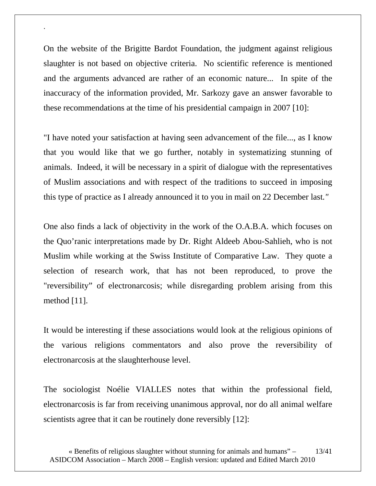On the website of the Brigitte Bardot Foundation, the judgment against religious slaughter is not based on objective criteria. No scientific reference is mentioned and the arguments advanced are rather of an economic nature... In spite of the inaccuracy of the information provided, Mr. Sarkozy gave an answer favorable to these recommendations at the time of his presidential campaign in 2007 [10]:

.

"I have noted your satisfaction at having seen advancement of the file..., as I know that you would like that we go further, notably in systematizing stunning of animals. Indeed, it will be necessary in a spirit of dialogue with the representatives of Muslim associations and with respect of the traditions to succeed in imposing this type of practice as I already announced it to you in mail on 22 December last*."* 

One also finds a lack of objectivity in the work of the O.A.B.A. which focuses on the Quo'ranic interpretations made by Dr. Right Aldeeb Abou-Sahlieh, who is not Muslim while working at the Swiss Institute of Comparative Law. They quote a selection of research work, that has not been reproduced, to prove the "reversibility" of electronarcosis; while disregarding problem arising from this method [11].

It would be interesting if these associations would look at the religious opinions of the various religions commentators and also prove the reversibility of electronarcosis at the slaughterhouse level.

The sociologist Noélie VIALLES notes that within the professional field, electronarcosis is far from receiving unanimous approval, nor do all animal welfare scientists agree that it can be routinely done reversibly [12]: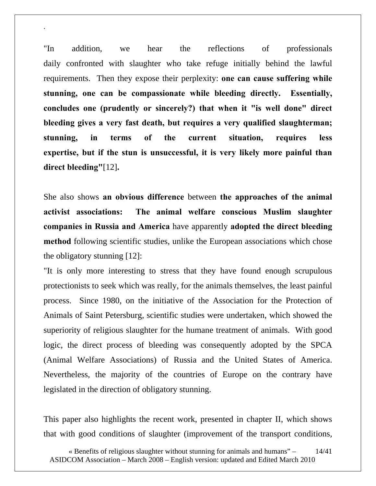"In addition, we hear the reflections of professionals daily confronted with slaughter who take refuge initially behind the lawful requirements. Then they expose their perplexity: **one can cause suffering while stunning, one can be compassionate while bleeding directly. Essentially, concludes one (prudently or sincerely?) that when it "is well done" direct bleeding gives a very fast death, but requires a very qualified slaughterman; stunning, in terms of the current situation, requires less expertise, but if the stun is unsuccessful, it is very likely more painful than direct bleeding"**[12]**.** 

.

She also shows **an obvious difference** between **the approaches of the animal activist associations: The animal welfare conscious Muslim slaughter companies in Russia and America** have apparently **adopted the direct bleeding method** following scientific studies, unlike the European associations which chose the obligatory stunning [12]:

"It is only more interesting to stress that they have found enough scrupulous protectionists to seek which was really, for the animals themselves, the least painful process. Since 1980, on the initiative of the Association for the Protection of Animals of Saint Petersburg, scientific studies were undertaken, which showed the superiority of religious slaughter for the humane treatment of animals. With good logic, the direct process of bleeding was consequently adopted by the SPCA (Animal Welfare Associations) of Russia and the United States of America. Nevertheless, the majority of the countries of Europe on the contrary have legislated in the direction of obligatory stunning.

This paper also highlights the recent work, presented in chapter II, which shows that with good conditions of slaughter (improvement of the transport conditions,

<sup>«</sup> Benefits of religious slaughter without stunning for animals and humans" – ASIDCOM Association – March 2008 – English version: updated and Edited March 2010 14/41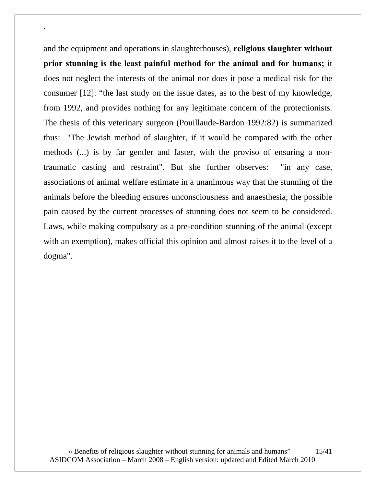and the equipment and operations in slaughterhouses), **religious slaughter without prior stunning is the least painful method for the animal and for humans;** it does not neglect the interests of the animal nor does it pose a medical risk for the consumer [12]: "the last study on the issue dates, as to the best of my knowledge, from 1992, and provides nothing for any legitimate concern of the protectionists. The thesis of this veterinary surgeon (Pouillaude-Bardon 1992:82) is summarized thus: "The Jewish method of slaughter, if it would be compared with the other methods (...) is by far gentler and faster, with the proviso of ensuring a nontraumatic casting and restraint". But she further observes: "in any case, associations of animal welfare estimate in a unanimous way that the stunning of the animals before the bleeding ensures unconsciousness and anaesthesia; the possible pain caused by the current processes of stunning does not seem to be considered. Laws, while making compulsory as a pre-condition stunning of the animal (except with an exemption), makes official this opinion and almost raises it to the level of a dogma".

.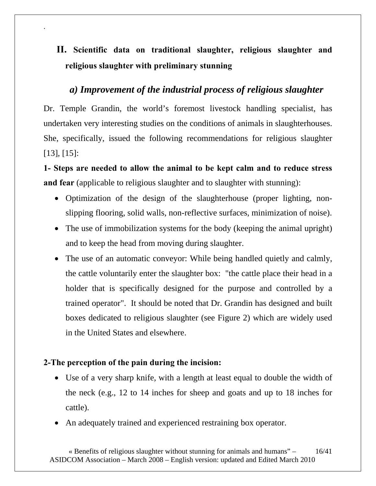# **II. Scientific data on traditional slaughter, religious slaughter and religious slaughter with preliminary stunning**

### *a) Improvement of the industrial process of religious slaughter*

Dr. Temple Grandin, the world's foremost livestock handling specialist, has undertaken very interesting studies on the conditions of animals in slaughterhouses. She, specifically, issued the following recommendations for religious slaughter [13], [15]:

**1- Steps are needed to allow the animal to be kept calm and to reduce stress and fear** (applicable to religious slaughter and to slaughter with stunning):

- Optimization of the design of the slaughterhouse (proper lighting, nonslipping flooring, solid walls, non-reflective surfaces, minimization of noise).
- The use of immobilization systems for the body (keeping the animal upright) and to keep the head from moving during slaughter.
- The use of an automatic conveyor: While being handled quietly and calmly, the cattle voluntarily enter the slaughter box: "the cattle place their head in a holder that is specifically designed for the purpose and controlled by a trained operator". It should be noted that Dr. Grandin has designed and built boxes dedicated to religious slaughter (see Figure 2) which are widely used in the United States and elsewhere.

### **2-The perception of the pain during the incision:**

.

- Use of a very sharp knife, with a length at least equal to double the width of the neck (e.g., 12 to 14 inches for sheep and goats and up to 18 inches for cattle).
- An adequately trained and experienced restraining box operator.

« Benefits of religious slaughter without stunning for animals and humans" – ASIDCOM Association – March 2008 – English version: updated and Edited March 2010 16/41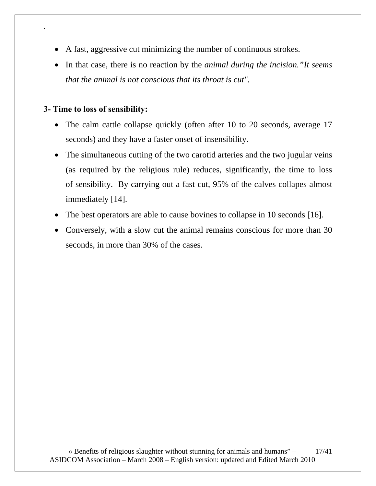- A fast, aggressive cut minimizing the number of continuous strokes.
- In that case, there is no reaction by the *animal during the incision."It seems that the animal is not conscious that its throat is cut".*

#### **3- Time to loss of sensibility:**

.

- The calm cattle collapse quickly (often after 10 to 20 seconds, average 17 seconds) and they have a faster onset of insensibility.
- The simultaneous cutting of the two carotid arteries and the two jugular veins (as required by the religious rule) reduces, significantly, the time to loss of sensibility. By carrying out a fast cut, 95% of the calves collapes almost immediately [14].
- The best operators are able to cause bovines to collapse in 10 seconds [16].
- Conversely, with a slow cut the animal remains conscious for more than 30 seconds, in more than 30% of the cases.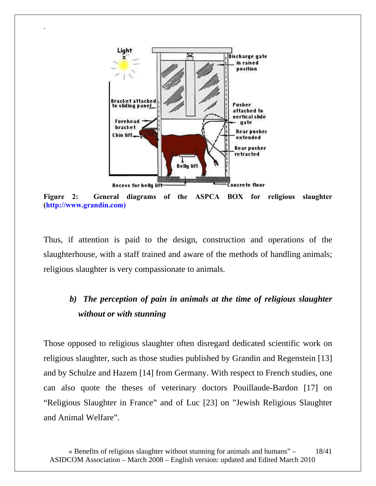

.

**Figure 2: General diagrams of the ASPCA BOX for religious slaughter (http://www.grandin.com)** 

Thus, if attention is paid to the design, construction and operations of the slaughterhouse, with a staff trained and aware of the methods of handling animals; religious slaughter is very compassionate to animals.

# *b) The perception of pain in animals at the time of religious slaughter without or with stunning*

Those opposed to religious slaughter often disregard dedicated scientific work on religious slaughter, such as those studies published by Grandin and Regenstein [13] and by Schulze and Hazem [14] from Germany. With respect to French studies, one can also quote the theses of veterinary doctors Pouillaude-Bardon [17] on "Religious Slaughter in France" and of Luc [23] on "Jewish Religious Slaughter and Animal Welfare".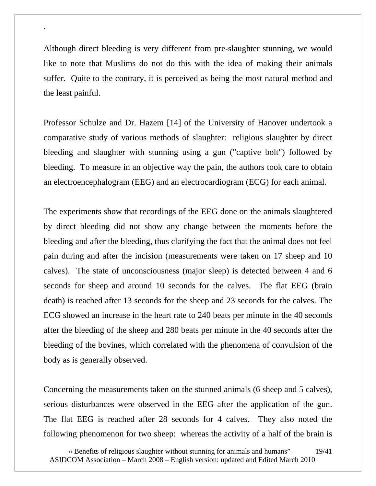Although direct bleeding is very different from pre-slaughter stunning, we would like to note that Muslims do not do this with the idea of making their animals suffer. Quite to the contrary, it is perceived as being the most natural method and the least painful.

.

Professor Schulze and Dr. Hazem [14] of the University of Hanover undertook a comparative study of various methods of slaughter: religious slaughter by direct bleeding and slaughter with stunning using a gun ("captive bolt") followed by bleeding. To measure in an objective way the pain, the authors took care to obtain an electroencephalogram (EEG) and an electrocardiogram (ECG) for each animal.

The experiments show that recordings of the EEG done on the animals slaughtered by direct bleeding did not show any change between the moments before the bleeding and after the bleeding, thus clarifying the fact that the animal does not feel pain during and after the incision (measurements were taken on 17 sheep and 10 calves). The state of unconsciousness (major sleep) is detected between 4 and 6 seconds for sheep and around 10 seconds for the calves. The flat EEG (brain death) is reached after 13 seconds for the sheep and 23 seconds for the calves. The ECG showed an increase in the heart rate to 240 beats per minute in the 40 seconds after the bleeding of the sheep and 280 beats per minute in the 40 seconds after the bleeding of the bovines, which correlated with the phenomena of convulsion of the body as is generally observed.

Concerning the measurements taken on the stunned animals (6 sheep and 5 calves), serious disturbances were observed in the EEG after the application of the gun. The flat EEG is reached after 28 seconds for 4 calves. They also noted the following phenomenon for two sheep: whereas the activity of a half of the brain is

<sup>«</sup> Benefits of religious slaughter without stunning for animals and humans" – ASIDCOM Association – March 2008 – English version: updated and Edited March 2010 19/41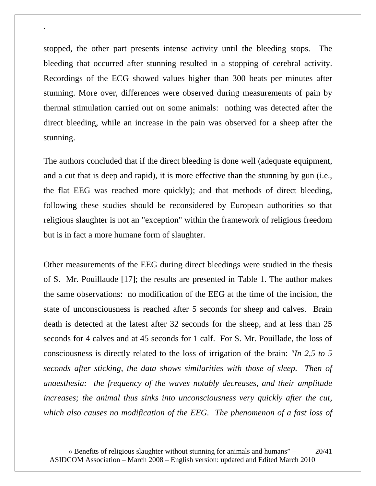stopped, the other part presents intense activity until the bleeding stops. The bleeding that occurred after stunning resulted in a stopping of cerebral activity. Recordings of the ECG showed values higher than 300 beats per minutes after stunning. More over, differences were observed during measurements of pain by thermal stimulation carried out on some animals: nothing was detected after the direct bleeding, while an increase in the pain was observed for a sheep after the stunning.

.

The authors concluded that if the direct bleeding is done well (adequate equipment, and a cut that is deep and rapid), it is more effective than the stunning by gun (i.e., the flat EEG was reached more quickly); and that methods of direct bleeding, following these studies should be reconsidered by European authorities so that religious slaughter is not an "exception" within the framework of religious freedom but is in fact a more humane form of slaughter.

Other measurements of the EEG during direct bleedings were studied in the thesis of S. Mr. Pouillaude [17]; the results are presented in Table 1. The author makes the same observations: no modification of the EEG at the time of the incision, the state of unconsciousness is reached after 5 seconds for sheep and calves. Brain death is detected at the latest after 32 seconds for the sheep, and at less than 25 seconds for 4 calves and at 45 seconds for 1 calf. For S. Mr. Pouillade, the loss of consciousness is directly related to the loss of irrigation of the brain: *"In 2,5 to 5 seconds after sticking, the data shows similarities with those of sleep. Then of anaesthesia: the frequency of the waves notably decreases, and their amplitude increases; the animal thus sinks into unconsciousness very quickly after the cut, which also causes no modification of the EEG. The phenomenon of a fast loss of*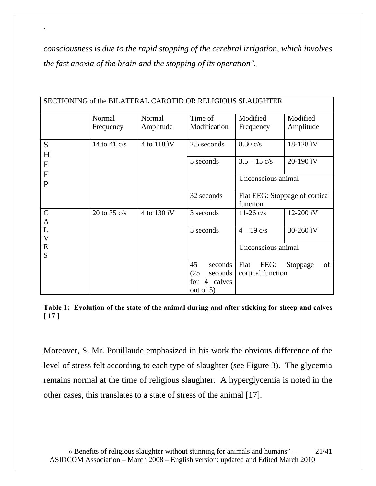*consciousness is due to the rapid stopping of the cerebral irrigation, which involves the fast anoxia of the brain and the stopping of its operation".* 

.

| SECTIONING of the BILATERAL CAROTID OR RELIGIOUS SLAUGHTER |                |             |                 |                        |                                |  |  |
|------------------------------------------------------------|----------------|-------------|-----------------|------------------------|--------------------------------|--|--|
|                                                            | Normal         | Normal      | Time of         | Modified               | Modified                       |  |  |
|                                                            | Frequency      | Amplitude   | Modification    | Frequency              | Amplitude                      |  |  |
| S                                                          | 14 to 41 $c/s$ | 4 to 118 iV | 2.5 seconds     | $8.30 \text{ c/s}$     | 18-128 iV                      |  |  |
| H                                                          |                |             | 5 seconds       | $3.5 - 15 \text{ c/s}$ | 20-190 iV                      |  |  |
| E                                                          |                |             |                 |                        |                                |  |  |
| E                                                          |                |             |                 | Unconscious animal     |                                |  |  |
| P                                                          |                |             |                 |                        |                                |  |  |
|                                                            |                |             | 32 seconds      | function               | Flat EEG: Stoppage of cortical |  |  |
|                                                            |                |             |                 |                        |                                |  |  |
| $\mathbf C$<br>A                                           | 20 to 35 $c/s$ | 4 to 130 iV | 3 seconds       | $11-26$ c/s            | 12-200 iV                      |  |  |
| L                                                          |                |             | 5 seconds       | $4 - 19$ c/s           | 30-260 ìV                      |  |  |
| $\mathbf V$                                                |                |             |                 |                        |                                |  |  |
| E<br>S                                                     |                |             |                 | Unconscious animal     |                                |  |  |
|                                                            |                |             | 45<br>seconds   | Flat<br>EEG:           | of<br>Stoppage                 |  |  |
|                                                            |                |             | (25)<br>seconds | cortical function      |                                |  |  |
|                                                            |                |             | 4 calves<br>for |                        |                                |  |  |
|                                                            |                |             | out of $5$ )    |                        |                                |  |  |

**Table 1: Evolution of the state of the animal during and after sticking for sheep and calves [ 17 ]** 

Moreover, S. Mr. Pouillaude emphasized in his work the obvious difference of the level of stress felt according to each type of slaughter (see Figure 3). The glycemia remains normal at the time of religious slaughter. A hyperglycemia is noted in the other cases, this translates to a state of stress of the animal [17].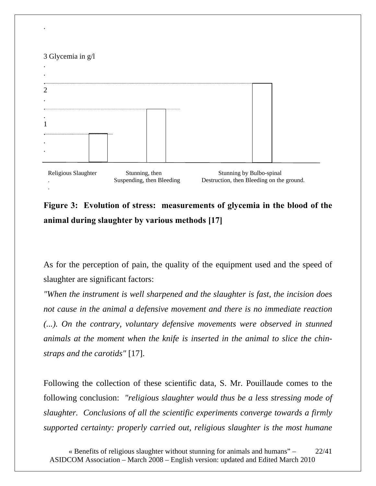#### 3 Glycemia in g/l

.

.



**Figure 3: Evolution of stress: measurements of glycemia in the blood of the animal during slaughter by various methods [17]** 

Suspending, then Bleeding Destruction, then Bleeding on the ground.

As for the perception of pain, the quality of the equipment used and the speed of slaughter are significant factors:

*"When the instrument is well sharpened and the slaughter is fast, the incision does not cause in the animal a defensive movement and there is no immediate reaction (...).* On the contrary, voluntary defensive movements were observed in stunned *animals at the moment when the knife is inserted in the animal to slice the chinstraps and the carotids"* [17].

Following the collection of these scientific data, S. Mr. Pouillaude comes to the following conclusion: *"religious slaughter would thus be a less stressing mode of slaughter. Conclusions of all the scientific experiments converge towards a firmly supported certainty: properly carried out, religious slaughter is the most humane* 

« Benefits of religious slaughter without stunning for animals and humans" – ASIDCOM Association – March 2008 – English version: updated and Edited March 2010 22/41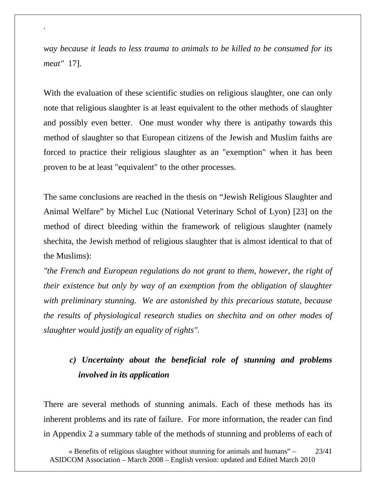*way because it leads to less trauma to animals to be killed to be consumed for its meat"* 17].

.

With the evaluation of these scientific studies on religious slaughter, one can only note that religious slaughter is at least equivalent to the other methods of slaughter and possibly even better. One must wonder why there is antipathy towards this method of slaughter so that European citizens of the Jewish and Muslim faiths are forced to practice their religious slaughter as an "exemption" when it has been proven to be at least "equivalent" to the other processes.

The same conclusions are reached in the thesis on "Jewish Religious Slaughter and Animal Welfare" by Michel Luc (National Veterinary Schol of Lyon) [23] on the method of direct bleeding within the framework of religious slaughter (namely shechita, the Jewish method of religious slaughter that is almost identical to that of the Muslims):

*"the French and European regulations do not grant to them, however, the right of their existence but only by way of an exemption from the obligation of slaughter with preliminary stunning. We are astonished by this precarious statute, because the results of physiological research studies on shechita and on other modes of slaughter would justify an equality of rights".* 

## *c) Uncertainty about the beneficial role of stunning and problems involved in its application*

There are several methods of stunning animals. Each of these methods has its inherent problems and its rate of failure. For more information, the reader can find in Appendix 2 a summary table of the methods of stunning and problems of each of

<sup>«</sup> Benefits of religious slaughter without stunning for animals and humans" – ASIDCOM Association – March 2008 – English version: updated and Edited March 2010 23/41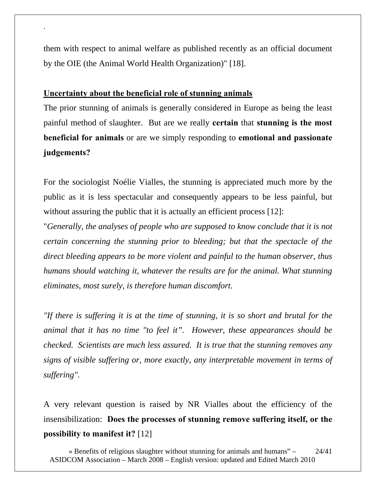them with respect to animal welfare as published recently as an official document by the OIE (the Animal World Health Organization)" [18].

#### **Uncertainty about the beneficial role of stunning animals**

.

The prior stunning of animals is generally considered in Europe as being the least painful method of slaughter. But are we really **certain** that **stunning is the most beneficial for animals** or are we simply responding to **emotional and passionate judgements?** 

For the sociologist Noélie Vialles, the stunning is appreciated much more by the public as it is less spectacular and consequently appears to be less painful, but without assuring the public that it is actually an efficient process [12]:

"*Generally, the analyses of people who are supposed to know conclude that it is not certain concerning the stunning prior to bleeding; but that the spectacle of the direct bleeding appears to be more violent and painful to the human observer, thus humans should watching it, whatever the results are for the animal. What stunning eliminates, most surely, is therefore human discomfort.* 

*"If there is suffering it is at the time of stunning, it is so short and brutal for the animal that it has no time "to feel it". However, these appearances should be checked. Scientists are much less assured. It is true that the stunning removes any signs of visible suffering or, more exactly, any interpretable movement in terms of suffering".* 

A very relevant question is raised by NR Vialles about the efficiency of the insensibilization: **Does the processes of stunning remove suffering itself, or the possibility to manifest it?** [12]

« Benefits of religious slaughter without stunning for animals and humans" – ASIDCOM Association – March 2008 – English version: updated and Edited March 2010 24/41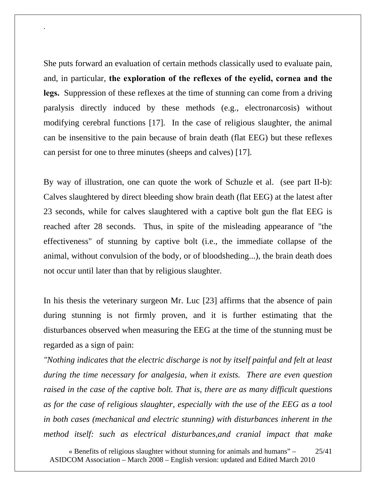She puts forward an evaluation of certain methods classically used to evaluate pain, and, in particular, **the exploration of the reflexes of the eyelid, cornea and the legs.** Suppression of these reflexes at the time of stunning can come from a driving paralysis directly induced by these methods (e.g., electronarcosis) without modifying cerebral functions [17]. In the case of religious slaughter, the animal can be insensitive to the pain because of brain death (flat EEG) but these reflexes can persist for one to three minutes (sheeps and calves) [17].

.

By way of illustration, one can quote the work of Schuzle et al. (see part II-b): Calves slaughtered by direct bleeding show brain death (flat EEG) at the latest after 23 seconds, while for calves slaughtered with a captive bolt gun the flat EEG is reached after 28 seconds. Thus, in spite of the misleading appearance of "the effectiveness" of stunning by captive bolt (i.e., the immediate collapse of the animal, without convulsion of the body, or of bloodsheding...), the brain death does not occur until later than that by religious slaughter.

In his thesis the veterinary surgeon Mr. Luc [23] affirms that the absence of pain during stunning is not firmly proven, and it is further estimating that the disturbances observed when measuring the EEG at the time of the stunning must be regarded as a sign of pain:

*"Nothing indicates that the electric discharge is not by itself painful and felt at least during the time necessary for analgesia, when it exists. There are even question raised in the case of the captive bolt. That is, there are as many difficult questions as for the case of religious slaughter, especially with the use of the EEG as a tool in both cases (mechanical and electric stunning) with disturbances inherent in the method itself: such as electrical disturbances,and cranial impact that make* 

« Benefits of religious slaughter without stunning for animals and humans" – ASIDCOM Association – March 2008 – English version: updated and Edited March 2010 25/41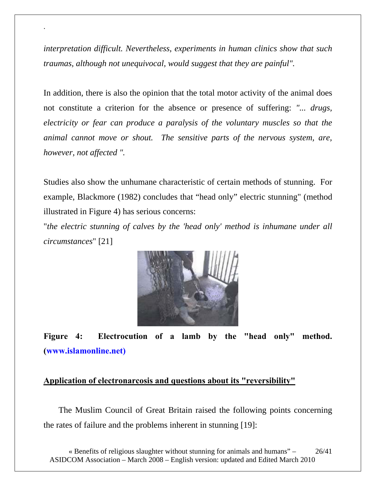*interpretation difficult. Nevertheless, experiments in human clinics show that such traumas, although not unequivocal, would suggest that they are painful".* 

.

In addition, there is also the opinion that the total motor activity of the animal does not constitute a criterion for the absence or presence of suffering: *"... drugs, electricity or fear can produce a paralysis of the voluntary muscles so that the animal cannot move or shout. The sensitive parts of the nervous system, are, however, not affected ".* 

Studies also show the unhumane characteristic of certain methods of stunning. For example, Blackmore (1982) concludes that "head only" electric stunning" (method illustrated in Figure 4) has serious concerns:

"*the electric stunning of calves by the 'head only' method is inhumane under all circumstances*" [21]



**Figure 4: Electrocution of a lamb by the "head only" method. (www.islamonline.net)** 

#### **Application of electronarcosis and questions about its "reversibility"**

 The Muslim Council of Great Britain raised the following points concerning the rates of failure and the problems inherent in stunning [19]:

« Benefits of religious slaughter without stunning for animals and humans" – ASIDCOM Association – March 2008 – English version: updated and Edited March 2010 26/41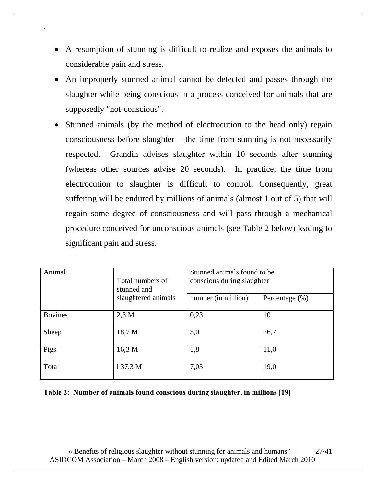• A resumption of stunning is difficult to realize and exposes the animals to considerable pain and stress.

.

- An improperly stunned animal cannot be detected and passes through the slaughter while being conscious in a process conceived for animals that are supposedly "not-conscious".
- Stunned animals (by the method of electrocution to the head only) regain consciousness before slaughter – the time from stunning is not necessarily respected. Grandin advises slaughter within 10 seconds after stunning (whereas other sources advise 20 seconds). In practice, the time from electrocution to slaughter is difficult to control. Consequently, great suffering will be endured by millions of animals (almost 1 out of 5) that will regain some degree of consciousness and will pass through a mechanical procedure conceived for unconscious animals (see Table 2 below) leading to significant pain and stress.

| Animal         | Total numbers of<br>stunned and | Stunned animals found to be<br>conscious during slaughter |                    |  |
|----------------|---------------------------------|-----------------------------------------------------------|--------------------|--|
|                | slaughtered animals             | number (in million)                                       | Percentage $(\% )$ |  |
| <b>Bovines</b> | $2,3$ M                         | 0,23                                                      | 10                 |  |
| Sheep          | 18,7 M                          | 5,0                                                       | 26,7               |  |
| Pigs           | 16,3 M                          | 1,8                                                       | 11,0               |  |
| Total          | 137,3 M                         | 7,03                                                      | 19,0               |  |

**Table 2: Number of animals found conscious during slaughter, in millions [19]** 

« Benefits of religious slaughter without stunning for animals and humans" – ASIDCOM Association – March 2008 – English version: updated and Edited March 2010 27/41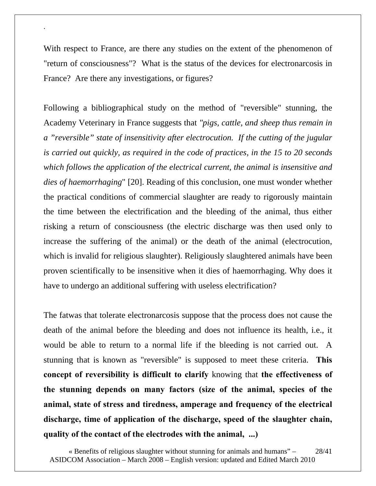With respect to France, are there any studies on the extent of the phenomenon of "return of consciousness"? What is the status of the devices for electronarcosis in France? Are there any investigations, or figures?

.

Following a bibliographical study on the method of "reversible" stunning, the Academy Veterinary in France suggests that *"pigs, cattle, and sheep thus remain in a "reversible" state of insensitivity after electrocution. If the cutting of the jugular is carried out quickly, as required in the code of practices, in the 15 to 20 seconds which follows the application of the electrical current, the animal is insensitive and dies of haemorrhaging*" [20]. Reading of this conclusion, one must wonder whether the practical conditions of commercial slaughter are ready to rigorously maintain the time between the electrification and the bleeding of the animal, thus either risking a return of consciousness (the electric discharge was then used only to increase the suffering of the animal) or the death of the animal (electrocution, which is invalid for religious slaughter). Religiously slaughtered animals have been proven scientifically to be insensitive when it dies of haemorrhaging. Why does it have to undergo an additional suffering with useless electrification?

The fatwas that tolerate electronarcosis suppose that the process does not cause the death of the animal before the bleeding and does not influence its health, i.e., it would be able to return to a normal life if the bleeding is not carried out. A stunning that is known as "reversible" is supposed to meet these criteria. **This concept of reversibility is difficult to clarify** knowing that **the effectiveness of the stunning depends on many factors (size of the animal, species of the animal, state of stress and tiredness, amperage and frequency of the electrical discharge, time of application of the discharge, speed of the slaughter chain, quality of the contact of the electrodes with the animal, ...)** 

<sup>«</sup> Benefits of religious slaughter without stunning for animals and humans" – ASIDCOM Association – March 2008 – English version: updated and Edited March 2010 28/41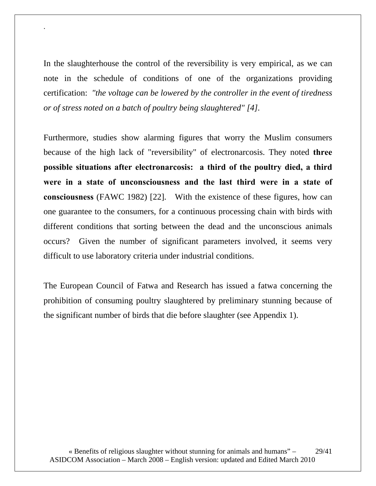In the slaughterhouse the control of the reversibility is very empirical, as we can note in the schedule of conditions of one of the organizations providing certification: *"the voltage can be lowered by the controller in the event of tiredness or of stress noted on a batch of poultry being slaughtered" [4].* 

.

Furthermore, studies show alarming figures that worry the Muslim consumers because of the high lack of "reversibility" of electronarcosis. They noted **three possible situations after electronarcosis: a third of the poultry died, a third were in a state of unconsciousness and the last third were in a state of consciousness** (FAWC 1982) [22]. With the existence of these figures, how can one guarantee to the consumers, for a continuous processing chain with birds with different conditions that sorting between the dead and the unconscious animals occurs? Given the number of significant parameters involved, it seems very difficult to use laboratory criteria under industrial conditions.

The European Council of Fatwa and Research has issued a fatwa concerning the prohibition of consuming poultry slaughtered by preliminary stunning because of the significant number of birds that die before slaughter (see Appendix 1).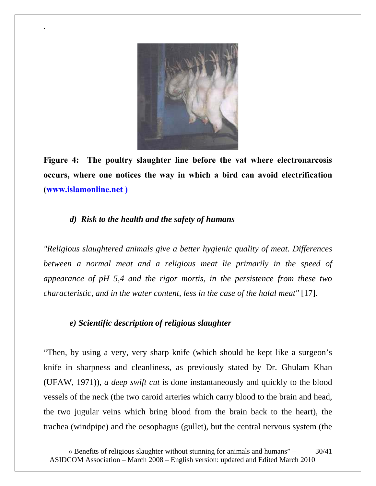

**Figure 4: The poultry slaughter line before the vat where electronarcosis occurs, where one notices the way in which a bird can avoid electrification (www.islamonline.net )** 

#### *d) Risk to the health and the safety of humans*

.

*"Religious slaughtered animals give a better hygienic quality of meat. Differences*  between a normal meat and a religious meat lie primarily in the speed of *appearance of pH 5,4 and the rigor mortis, in the persistence from these two characteristic, and in the water content, less in the case of the halal meat"* [17].

#### *e) Scientific description of religious slaughter*

"Then, by using a very, very sharp knife (which should be kept like a surgeon's knife in sharpness and cleanliness, as previously stated by Dr. Ghulam Khan (UFAW, 1971)), *a deep swift cut* is done instantaneously and quickly to the blood vessels of the neck (the two caroid arteries which carry blood to the brain and head, the two jugular veins which bring blood from the brain back to the heart), the trachea (windpipe) and the oesophagus (gullet), but the central nervous system (the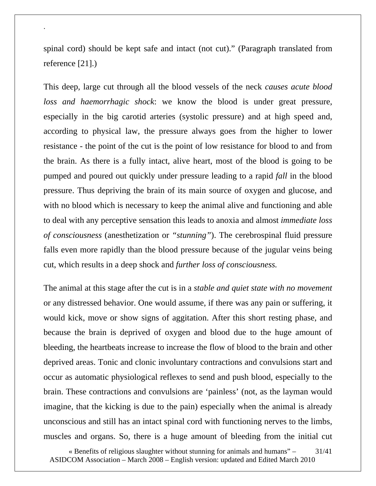spinal cord) should be kept safe and intact (not cut)." (Paragraph translated from reference [21].)

.

This deep, large cut through all the blood vessels of the neck *causes acute blood loss and haemorrhagic shock*: we know the blood is under great pressure, especially in the big carotid arteries (systolic pressure) and at high speed and, according to physical law, the pressure always goes from the higher to lower resistance - the point of the cut is the point of low resistance for blood to and from the brain. As there is a fully intact, alive heart, most of the blood is going to be pumped and poured out quickly under pressure leading to a rapid *fall* in the blood pressure. Thus depriving the brain of its main source of oxygen and glucose, and with no blood which is necessary to keep the animal alive and functioning and able to deal with any perceptive sensation this leads to anoxia and almost *immediate loss of consciousness* (anesthetization or *"stunning"*). The cerebrospinal fluid pressure falls even more rapidly than the blood pressure because of the jugular veins being cut, which results in a deep shock and *further loss of consciousness.*

The animal at this stage after the cut is in a *stable and quiet state with no movement* or any distressed behavior. One would assume, if there was any pain or suffering, it would kick, move or show signs of aggitation. After this short resting phase, and because the brain is deprived of oxygen and blood due to the huge amount of bleeding, the heartbeats increase to increase the flow of blood to the brain and other deprived areas. Tonic and clonic involuntary contractions and convulsions start and occur as automatic physiological reflexes to send and push blood, especially to the brain. These contractions and convulsions are 'painless' (not, as the layman would imagine, that the kicking is due to the pain) especially when the animal is already unconscious and still has an intact spinal cord with functioning nerves to the limbs, muscles and organs. So, there is a huge amount of bleeding from the initial cut

« Benefits of religious slaughter without stunning for animals and humans" – ASIDCOM Association – March 2008 – English version: updated and Edited March 2010 31/41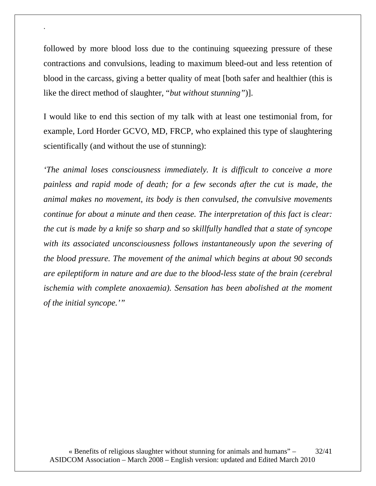followed by more blood loss due to the continuing squeezing pressure of these contractions and convulsions, leading to maximum bleed-out and less retention of blood in the carcass, giving a better quality of meat [both safer and healthier (this is like the direct method of slaughter, "*but without stunning"*)].

.

I would like to end this section of my talk with at least one testimonial from, for example, Lord Horder GCVO, MD, FRCP, who explained this type of slaughtering scientifically (and without the use of stunning):

*'The animal loses consciousness immediately. It is difficult to conceive a more painless and rapid mode of death; for a few seconds after the cut is made, the animal makes no movement, its body is then convulsed, the convulsive movements continue for about a minute and then cease. The interpretation of this fact is clear: the cut is made by a knife so sharp and so skillfully handled that a state of syncope*  with its associated unconsciousness follows instantaneously upon the severing of *the blood pressure. The movement of the animal which begins at about 90 seconds are epileptiform in nature and are due to the blood-less state of the brain (cerebral ischemia with complete anoxaemia). Sensation has been abolished at the moment of the initial syncope.'"*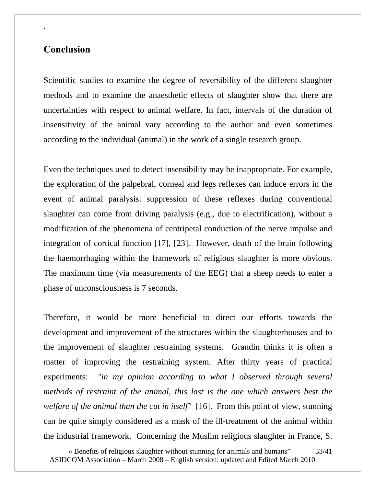### **Conclusion**

.

Scientific studies to examine the degree of reversibility of the different slaughter methods and to examine the anaesthetic effects of slaughter show that there are uncertainties with respect to animal welfare. In fact, intervals of the duration of insensitivity of the animal vary according to the author and even sometimes according to the individual (animal) in the work of a single research group.

Even the techniques used to detect insensibility may be inappropriate. For example, the exploration of the palpebral, corneal and legs reflexes can induce errors in the event of animal paralysis: suppression of these reflexes during conventional slaughter can come from driving paralysis (e.g., due to electrification), without a modification of the phenomena of centripetal conduction of the nerve impulse and integration of cortical function [17], [23]. However, death of the brain following the haemorrhaging within the framework of religious slaughter is more obvious. The maximum time (via measurements of the EEG) that a sheep needs to enter a phase of unconsciousness is 7 seconds.

Therefore, it would be more beneficial to direct our efforts towards the development and improvement of the structures within the slaughterhouses and to the improvement of slaughter restraining systems. Grandin thinks it is often a matter of improving the restraining system. After thirty years of practical experiments: *"in my opinion according to what I observed through several methods of restraint of the animal, this last is the one which answers best the welfare of the animal than the cut in itself"* [16]. From this point of view, stunning can be quite simply considered as a mask of the ill-treatment of the animal within the industrial framework. Concerning the Muslim religious slaughter in France, S.

« Benefits of religious slaughter without stunning for animals and humans" – ASIDCOM Association – March 2008 – English version: updated and Edited March 2010 33/41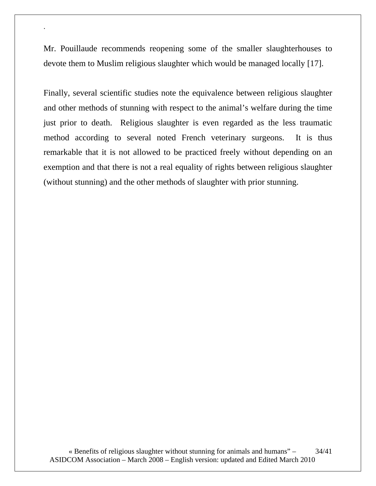Mr. Pouillaude recommends reopening some of the smaller slaughterhouses to devote them to Muslim religious slaughter which would be managed locally [17].

.

Finally, several scientific studies note the equivalence between religious slaughter and other methods of stunning with respect to the animal's welfare during the time just prior to death. Religious slaughter is even regarded as the less traumatic method according to several noted French veterinary surgeons. It is thus remarkable that it is not allowed to be practiced freely without depending on an exemption and that there is not a real equality of rights between religious slaughter (without stunning) and the other methods of slaughter with prior stunning.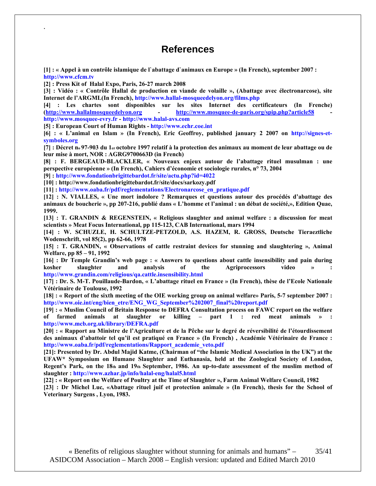### **References**

**[1] : « Appel à un contrôle islamique de l`abattage d`animaux en Europe » (In French), september 2007 : http://www.cfcm.tv** 

**[2] : Press Kit of Halal Expo, Paris, 26-27 march 2008** 

.

**[3] : Vidéo : « Contrôle Hallal de production en viande de volaille », (Abattage avec électronarcose), site Internet de l'ARGML(In French), http://www.hallal-mosqueedelyon.org/films.php** 

**[4] : Les chartes sont disponibles sur les sites Internet des certificateurs (In Frenche) (http://www.hallalmosqueedelyon.org - http://www.mosquee-de-paris.org/spip.php?article58 http://www.mosquee-evry.fr - http://www.halal-avs.com** 

**[5] : European Court of Human Rights - http://www.echr.coe.int** 

**[6] : « L'animal en Islam » (In French), Eric Geoffroy, published january 2 2007 on http://signes-etsymboles.org** 

**[7] : Décret no 97-903 du 1er octobre 1997 relatif à la protection des animaux au moment de leur abattage ou de leur mise à mort, NOR : AGRG9700663D (in French)** 

**[8] : F. BERGEAUD-BLACKLER, « Nouveaux enjeux autour de l'abattage rituel musulman : une perspective européenne » (In French), Cahiers d'économie et sociologie rurales, n° 73, 2004** 

**[9] : http://www.fondationbrigittebardot.fr/site/actu.php?id=4022** 

**[10] : http://www.fondationbrigittebardot.fr/site/docs/sarkozy.pdf** 

**[11] : http://www.oaba.fr/pdf/reglementations/Electronarcose\_en\_pratique.pdf** 

**[12] : N. VIALLES, « Une mort indolore ? Remarques et questions autour des procédés d'abattage des animaux de boucherie », pp 207-216, publié dans « L'homme et l'animal : un débat de société,», Edition Quae, 1999.** 

**[13] : T. GRANDIN & REGENSTEIN, « Religious slaughter and animal welfare : a discussion for meat scientists » Meat Focus International, pp 115-123, CAB International, mars 1994** 

**[14] : W. SCHUZLE, H. SCHULTZE-PETZOLD, A.S. HAZEM, R. GROSS, Deutsche Tieraeztliche Wodenschrift, vol 85(2), pp 62-66, 1978** 

**[15] : T. GRANDIN, « Observations of cattle restraint devices for stunning and slaughtering », Animal Welfare, pp 85 – 91, 1992** 

**[16] : Dr Temple Grandin's web page : « Answers to questions about cattle insensibility and pain during**  kosher slaughter and analysis of the Agriprocessors video » **http://www.grandin.com/religious/qa.cattle.insensibility.html** 

**[17] : Dr. S. M-T. Pouillaude-Bardon, « L'abattage rituel en France » (In French), thèse de l'Ecole Nationale Vétérinaire de Toulouse, 1992** 

**[18] : « Report of the sixth meeting of the OIE working group on animal welfare» Paris, 5-7 september 2007 : http://www.oie.int/eng/bien\_etre/ENG\_WG\_September%202007\_final%20report.pdf** 

**[19] : « Muslim Council of Britain Response to DEFRA Consultation process on FAWC report on the welfare of farmed animals at slaughter or killing – part 1 : red meat animals » http://www.mcb.org.uk/library/DEFRA.pdf** 

**[20] : « Rapport au Ministre de l'Agriculture et de la Pêche sur le degré de réversibilité de l'étourdissement des animaux d'abattoir tel qu'il est pratiqué en France » (In French) , Académie Vétérinaire de France : http://www.oaba.fr/pdf/reglementations/Rapport\_academie\_veto.pdf** 

**[21]: Presented by Dr. Abdul Majid Katme, (Chairman of "the Islamic Medical Association in the UK") at the UFAW\* Symposium on Humane Slaughter and Euthanasia, held at the Zoological Society of London, Regent's Park, on the 18th and 19th September, 1986. An up-to-date assessment of the muslim method of slaughter : http://www.azhar.jp/info/halal-eng/halal5.html** 

**[22] : « Report on the Welfare of Poultry at the Time of Slaughter », Farm Animal Welfare Council, 1982 [23] : Dr Michel Luc, «Abattage rituel juif et protection animale » (In French), thesis for the School of Veterinary Surgens , Lyon, 1983.**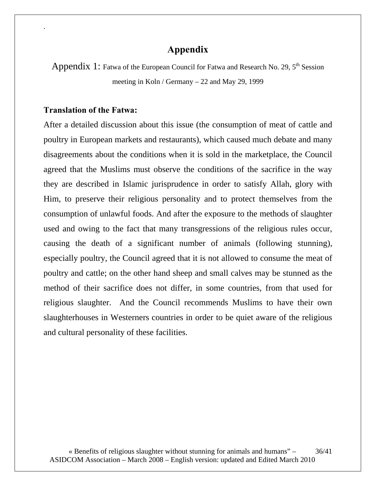### **Appendix**

Appendix 1: Fatwa of the European Council for Fatwa and Research No. 29, 5<sup>th</sup> Session meeting in Koln / Germany – 22 and May 29, 1999

#### **Translation of the Fatwa:**

.

After a detailed discussion about this issue (the consumption of meat of cattle and poultry in European markets and restaurants), which caused much debate and many disagreements about the conditions when it is sold in the marketplace, the Council agreed that the Muslims must observe the conditions of the sacrifice in the way they are described in Islamic jurisprudence in order to satisfy Allah, glory with Him, to preserve their religious personality and to protect themselves from the consumption of unlawful foods. And after the exposure to the methods of slaughter used and owing to the fact that many transgressions of the religious rules occur, causing the death of a significant number of animals (following stunning), especially poultry, the Council agreed that it is not allowed to consume the meat of poultry and cattle; on the other hand sheep and small calves may be stunned as the method of their sacrifice does not differ, in some countries, from that used for religious slaughter. And the Council recommends Muslims to have their own slaughterhouses in Westerners countries in order to be quiet aware of the religious and cultural personality of these facilities.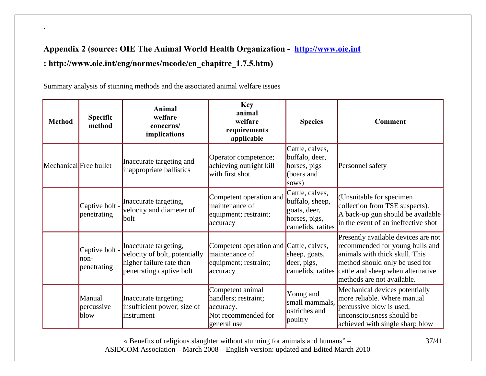# **Appendix 2 (source: OIE The Animal World Health Organization - http://www.oie.int : http://www.oie.int/eng/normes/mcode/en\_chapitre\_1.7.5.htm)**

Summary analysis of stunning methods and the associated animal welfare issues

.

| <b>Method</b>          | <b>Specific</b><br>method              | Animal<br>welfare<br>concerns/<br>implications                                                                 | <b>Key</b><br>animal<br>welfare<br>requirements<br>applicable                                  | <b>Species</b>                                                                           | Comment                                                                                                                                                                                                                         |
|------------------------|----------------------------------------|----------------------------------------------------------------------------------------------------------------|------------------------------------------------------------------------------------------------|------------------------------------------------------------------------------------------|---------------------------------------------------------------------------------------------------------------------------------------------------------------------------------------------------------------------------------|
| Mechanical Free bullet |                                        | Inaccurate targeting and<br>inappropriate ballistics                                                           | Operator competence;<br>achieving outright kill<br>with first shot                             | Cattle, calves,<br>buffalo, deer,<br>horses, pigs<br>(boars and<br>sows)                 | Personnel safety                                                                                                                                                                                                                |
|                        | Captive bolt -<br>penetrating          | Inaccurate targeting,<br>velocity and diameter of<br>bolt                                                      | Competent operation and<br>maintenance of<br>equipment; restraint;<br>accuracy                 | Cattle, calves,<br>buffalo, sheep,<br>goats, deer,<br>horses, pigs,<br>camelids, ratites | (Unsuitable for specimen)<br>collection from TSE suspects).<br>A back-up gun should be available<br>in the event of an ineffective shot                                                                                         |
|                        | Captive bolt -<br>lnon-<br>penetrating | Inaccurate targeting,<br>velocity of bolt, potentially<br>higher failure rate than<br>penetrating captive bolt | Competent operation and Cattle, calves,<br>maintenance of<br>equipment; restraint;<br>accuracy | sheep, goats,<br>deer, pigs,                                                             | Presently available devices are not<br>recommended for young bulls and<br>animals with thick skull. This<br>method should only be used for<br>camelids, ratites cattle and sheep when alternative<br>methods are not available. |
|                        | Manual<br>percussive<br>blow           | Inaccurate targeting;<br>insufficient power; size of<br>instrument                                             | Competent animal<br>handlers; restraint;<br>accuracy.<br>Not recommended for<br>general use    | Young and<br>small mammals,<br>ostriches and<br>poultry                                  | Mechanical devices potentially<br>more reliable. Where manual<br>percussive blow is used,<br>unconsciousness should be<br>achieved with single sharp blow                                                                       |

« Benefits of religious slaughter without stunning for animals and humans" – ASIDCOM Association – March 2008 – English version: updated and Edited March 2010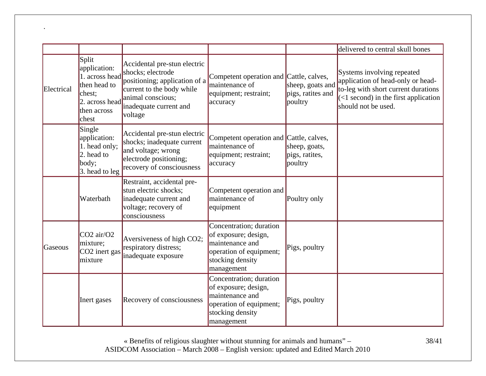|            |                                                                                                             |                                                                                                                                                                           |                                                                                                                                 |                                                  | delivered to central skull bones                                                                                                                                              |
|------------|-------------------------------------------------------------------------------------------------------------|---------------------------------------------------------------------------------------------------------------------------------------------------------------------------|---------------------------------------------------------------------------------------------------------------------------------|--------------------------------------------------|-------------------------------------------------------------------------------------------------------------------------------------------------------------------------------|
| Electrical | Split<br>application:<br>1. across head<br>then head to<br>chest;<br>2. across head<br>then across<br>chest | Accidental pre-stun electric<br>shocks; electrode<br>positioning; application of a<br>current to the body while<br>animal conscious;<br>inadequate current and<br>voltage | Competent operation and Cattle, calves,<br>maintenance of<br>equipment; restraint;<br>accuracy                                  | sheep, goats and<br>pigs, ratites and<br>poultry | Systems involving repeated<br>application of head-only or head-<br>to-leg with short current durations<br>$\vert$ (<1 second) in the first application<br>should not be used. |
|            | Single<br>application:<br>1. head only;<br>2. head to<br>body;<br>3. head to leg                            | Accidental pre-stun electric<br>shocks; inadequate current<br>and voltage; wrong<br>electrode positioning;<br>recovery of consciousness                                   | Competent operation and Cattle, calves,<br>maintenance of<br>equipment; restraint;<br>accuracy                                  | sheep, goats,<br>pigs, ratites,<br>poultry       |                                                                                                                                                                               |
|            | Waterbath                                                                                                   | Restraint, accidental pre-<br>stun electric shocks;<br>inadequate current and<br>voltage; recovery of<br>consciousness                                                    | Competent operation and<br>maintenance of<br>equipment                                                                          | Poultry only                                     |                                                                                                                                                                               |
| Gaseous    | CO <sub>2</sub> air/O <sub>2</sub><br>mixture;<br>CO <sub>2</sub> inert gas<br>mixture                      | Aversiveness of high CO2;<br>respiratory distress;<br>inadequate exposure                                                                                                 | Concentration; duration<br>of exposure; design,<br>maintenance and<br>operation of equipment;<br>stocking density<br>management | Pigs, poultry                                    |                                                                                                                                                                               |
|            | Inert gases                                                                                                 | Recovery of consciousness                                                                                                                                                 | Concentration; duration<br>of exposure; design,<br>maintenance and<br>operation of equipment;<br>stocking density<br>management | Pigs, poultry                                    |                                                                                                                                                                               |

.

« Benefits of religious slaughter without stunning for animals and humans" – ASIDCOM Association – March 2008 – English version: updated and Edited March 2010

38/41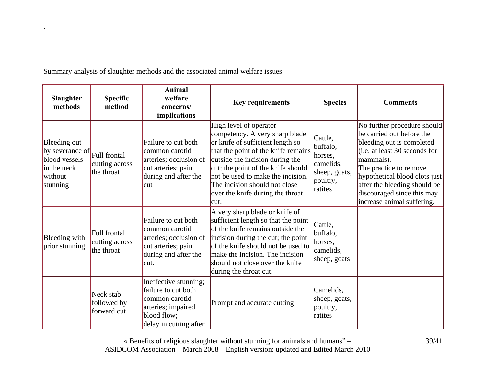| <b>Slaughter</b><br>methods                                                                         | <b>Specific</b><br>method                    | <b>Animal</b><br>welfare<br>concerns/<br>implications                                                                         | <b>Key requirements</b>                                                                                                                                                                                                                                                                                                         | <b>Species</b>                                                                      | <b>Comments</b>                                                                                                                                                                                                                                                                            |
|-----------------------------------------------------------------------------------------------------|----------------------------------------------|-------------------------------------------------------------------------------------------------------------------------------|---------------------------------------------------------------------------------------------------------------------------------------------------------------------------------------------------------------------------------------------------------------------------------------------------------------------------------|-------------------------------------------------------------------------------------|--------------------------------------------------------------------------------------------------------------------------------------------------------------------------------------------------------------------------------------------------------------------------------------------|
| Bleeding out<br>by severance of Full frontal<br>blood vessels<br>in the neck<br>without<br>stunning | cutting across<br>the throat                 | Failure to cut both<br>common carotid<br>arteries; occlusion of<br>cut arteries; pain<br>during and after the<br>cut          | High level of operator<br>competency. A very sharp blade<br>or knife of sufficient length so<br>that the point of the knife remains<br>outside the incision during the<br>cut; the point of the knife should<br>not be used to make the incision.<br>The incision should not close<br>over the knife during the throat<br>lcut. | Cattle,<br>buffalo,<br>horses,<br>camelids,<br>sheep, goats,<br>poultry,<br>ratites | No further procedure should<br>be carried out before the<br>bleeding out is completed<br>(i.e. at least 30 seconds for<br>mammals).<br>The practice to remove<br>hypothetical blood clots just<br>after the bleeding should be<br>discouraged since this may<br>increase animal suffering. |
| Bleeding with<br>prior stunning                                                                     | Full frontal<br>cutting across<br>the throat | Failure to cut both<br>common carotid<br>arteries; occlusion of<br>cut arteries; pain<br>during and after the<br>cut.         | A very sharp blade or knife of<br>sufficient length so that the point<br>of the knife remains outside the<br>incision during the cut; the point<br>of the knife should not be used to<br>make the incision. The incision<br>should not close over the knife<br>during the throat cut.                                           | Cattle,<br>buffalo,<br>horses,<br>camelids,<br>sheep, goats                         |                                                                                                                                                                                                                                                                                            |
|                                                                                                     | Neck stab<br>followed by<br>forward cut      | Ineffective stunning;<br>failure to cut both<br>common carotid<br>arteries; impaired<br>blood flow;<br>delay in cutting after | Prompt and accurate cutting                                                                                                                                                                                                                                                                                                     | Camelids,<br>sheep, goats,<br>poultry,<br>ratites                                   |                                                                                                                                                                                                                                                                                            |

Summary analysis of slaughter methods and the associated animal welfare issues

.

« Benefits of religious slaughter without stunning for animals and humans" – ASIDCOM Association – March 2008 – English version: updated and Edited March 2010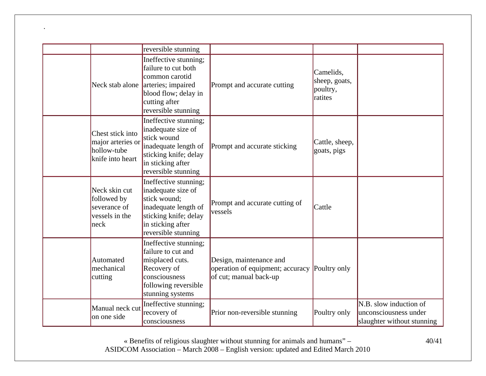|                                                                          | reversible stunning                                                                                                                                      |                                                                                       |                                                   |                                                                               |
|--------------------------------------------------------------------------|----------------------------------------------------------------------------------------------------------------------------------------------------------|---------------------------------------------------------------------------------------|---------------------------------------------------|-------------------------------------------------------------------------------|
| Neck stab alone                                                          | Ineffective stunning;<br>failure to cut both<br>common carotid<br>arteries; impaired<br>blood flow; delay in<br>cutting after<br>reversible stunning     | Prompt and accurate cutting                                                           | Camelids,<br>sheep, goats,<br>poultry,<br>ratites |                                                                               |
| Chest stick into<br>major arteries or<br>hollow-tube<br>knife into heart | Ineffective stunning;<br>inadequate size of<br>stick wound<br>inadequate length of<br>sticking knife; delay<br>in sticking after<br>reversible stunning  | Prompt and accurate sticking                                                          | Cattle, sheep,<br>goats, pigs                     |                                                                               |
| Neck skin cut<br>followed by<br>severance of<br>vessels in the<br> neck  | Ineffective stunning;<br>inadequate size of<br>stick wound:<br>inadequate length of<br>sticking knife; delay<br>in sticking after<br>reversible stunning | Prompt and accurate cutting of<br>vessels                                             | Cattle                                            |                                                                               |
| Automated<br>mechanical<br>cutting                                       | Ineffective stunning;<br>failure to cut and<br>misplaced cuts.<br>Recovery of<br>consciousness<br>following reversible<br>stunning systems               | Design, maintenance and<br>operation of equipment; accuracy<br>of cut; manual back-up | Poultry only                                      |                                                                               |
| Manual neck cut<br>on one side                                           | Ineffective stunning;<br>recovery of<br>consciousness                                                                                                    | Prior non-reversible stunning                                                         | Poultry only                                      | N.B. slow induction of<br>unconsciousness under<br>slaughter without stunning |

.

« Benefits of religious slaughter without stunning for animals and humans" – ASIDCOM Association – March 2008 – English version: updated and Edited March 2010 40/41